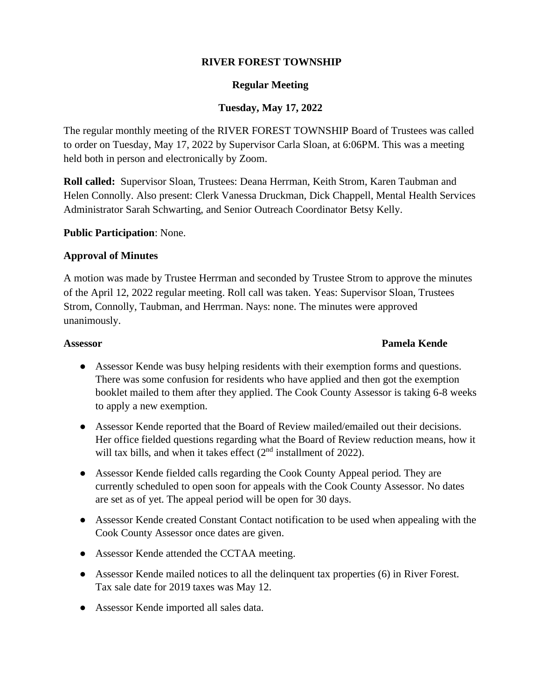## **RIVER FOREST TOWNSHIP**

### **Regular Meeting**

# **Tuesday, May 17, 2022**

The regular monthly meeting of the RIVER FOREST TOWNSHIP Board of Trustees was called to order on Tuesday, May 17, 2022 by Supervisor Carla Sloan, at 6:06PM. This was a meeting held both in person and electronically by Zoom.

**Roll called:** Supervisor Sloan, Trustees: Deana Herrman, Keith Strom, Karen Taubman and Helen Connolly. Also present: Clerk Vanessa Druckman, Dick Chappell, Mental Health Services Administrator Sarah Schwarting, and Senior Outreach Coordinator Betsy Kelly.

### **Public Participation**: None.

### **Approval of Minutes**

A motion was made by Trustee Herrman and seconded by Trustee Strom to approve the minutes of the April 12, 2022 regular meeting. Roll call was taken. Yeas: Supervisor Sloan, Trustees Strom, Connolly, Taubman, and Herrman. Nays: none. The minutes were approved unanimously.

### **Assessor Pamela Kende**

- Assessor Kende was busy helping residents with their exemption forms and questions. There was some confusion for residents who have applied and then got the exemption booklet mailed to them after they applied. The Cook County Assessor is taking 6-8 weeks to apply a new exemption.
- Assessor Kende reported that the Board of Review mailed/emailed out their decisions. Her office fielded questions regarding what the Board of Review reduction means, how it will tax bills, and when it takes effect  $(2<sup>nd</sup>$  installment of 2022).
- Assessor Kende fielded calls regarding the Cook County Appeal period. They are currently scheduled to open soon for appeals with the Cook County Assessor. No dates are set as of yet. The appeal period will be open for 30 days.
- Assessor Kende created Constant Contact notification to be used when appealing with the Cook County Assessor once dates are given.
- Assessor Kende attended the CCTAA meeting.
- Assessor Kende mailed notices to all the delinquent tax properties (6) in River Forest. Tax sale date for 2019 taxes was May 12.
- Assessor Kende imported all sales data.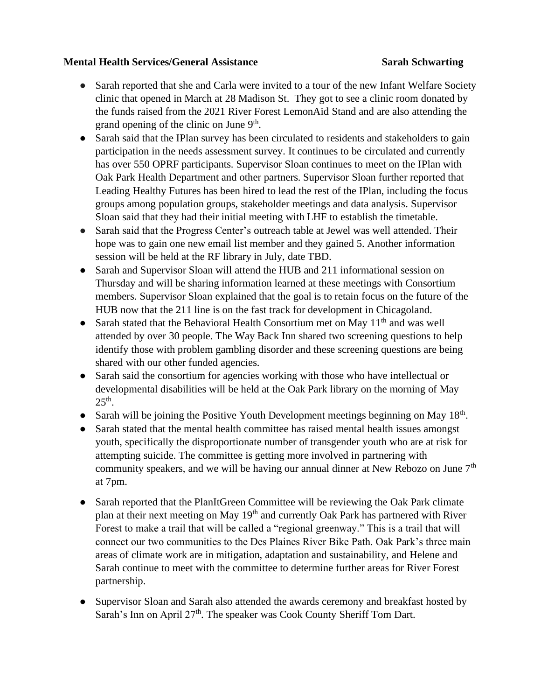## **Mental Health Services/General Assistance Sarah Schwarting**

- Sarah reported that she and Carla were invited to a tour of the new Infant Welfare Society clinic that opened in March at 28 Madison St. They got to see a clinic room donated by the funds raised from the 2021 River Forest LemonAid Stand and are also attending the grand opening of the clinic on June  $9<sup>th</sup>$ .
- Sarah said that the IPlan survey has been circulated to residents and stakeholders to gain participation in the needs assessment survey. It continues to be circulated and currently has over 550 OPRF participants. Supervisor Sloan continues to meet on the IPlan with Oak Park Health Department and other partners. Supervisor Sloan further reported that Leading Healthy Futures has been hired to lead the rest of the IPlan, including the focus groups among population groups, stakeholder meetings and data analysis. Supervisor Sloan said that they had their initial meeting with LHF to establish the timetable.
- Sarah said that the Progress Center's outreach table at Jewel was well attended. Their hope was to gain one new email list member and they gained 5. Another information session will be held at the RF library in July, date TBD.
- Sarah and Supervisor Sloan will attend the HUB and 211 informational session on Thursday and will be sharing information learned at these meetings with Consortium members. Supervisor Sloan explained that the goal is to retain focus on the future of the HUB now that the 211 line is on the fast track for development in Chicagoland.
- Sarah stated that the Behavioral Health Consortium met on May  $11<sup>th</sup>$  and was well attended by over 30 people. The Way Back Inn shared two screening questions to help identify those with problem gambling disorder and these screening questions are being shared with our other funded agencies.
- Sarah said the consortium for agencies working with those who have intellectual or developmental disabilities will be held at the Oak Park library on the morning of May  $25<sup>th</sup>$ .
- Sarah will be joining the Positive Youth Development meetings beginning on May 18<sup>th</sup>.
- Sarah stated that the mental health committee has raised mental health issues amongst youth, specifically the disproportionate number of transgender youth who are at risk for attempting suicide. The committee is getting more involved in partnering with community speakers, and we will be having our annual dinner at New Rebozo on June  $7<sup>th</sup>$ at 7pm.
- Sarah reported that the PlanItGreen Committee will be reviewing the Oak Park climate plan at their next meeting on May  $19<sup>th</sup>$  and currently Oak Park has partnered with River Forest to make a trail that will be called a "regional greenway." This is a trail that will connect our two communities to the Des Plaines River Bike Path. Oak Park's three main areas of climate work are in mitigation, adaptation and sustainability, and Helene and Sarah continue to meet with the committee to determine further areas for River Forest partnership.
- Supervisor Sloan and Sarah also attended the awards ceremony and breakfast hosted by Sarah's Inn on April  $27<sup>th</sup>$ . The speaker was Cook County Sheriff Tom Dart.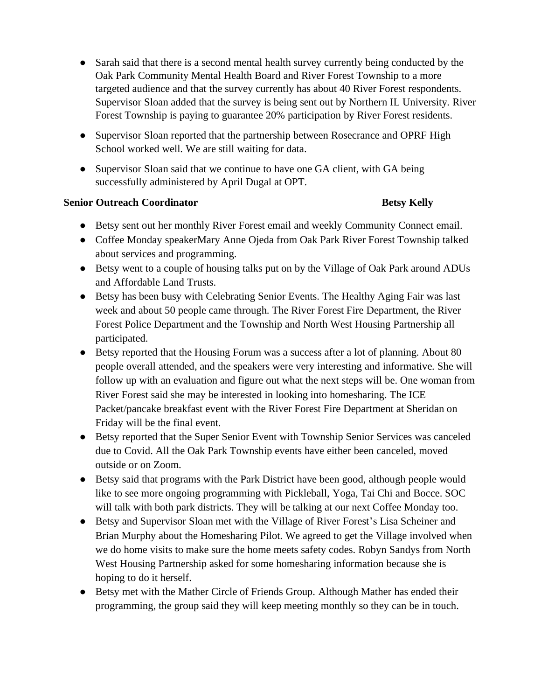- Sarah said that there is a second mental health survey currently being conducted by the Oak Park Community Mental Health Board and River Forest Township to a more targeted audience and that the survey currently has about 40 River Forest respondents. Supervisor Sloan added that the survey is being sent out by Northern IL University. River Forest Township is paying to guarantee 20% participation by River Forest residents.
- Supervisor Sloan reported that the partnership between Rosecrance and OPRF High School worked well. We are still waiting for data.
- Supervisor Sloan said that we continue to have one GA client, with GA being successfully administered by April Dugal at OPT.

# **Senior Outreach Coordinator Betsy Kelly**

- Betsy sent out her monthly River Forest email and weekly Community Connect email.
- Coffee Monday speakerMary Anne Ojeda from Oak Park River Forest Township talked about services and programming.
- Betsy went to a couple of housing talks put on by the Village of Oak Park around ADUs and Affordable Land Trusts.
- Betsy has been busy with Celebrating Senior Events. The Healthy Aging Fair was last week and about 50 people came through. The River Forest Fire Department, the River Forest Police Department and the Township and North West Housing Partnership all participated.
- Betsy reported that the Housing Forum was a success after a lot of planning. About 80 people overall attended, and the speakers were very interesting and informative. She will follow up with an evaluation and figure out what the next steps will be. One woman from River Forest said she may be interested in looking into homesharing. The ICE Packet/pancake breakfast event with the River Forest Fire Department at Sheridan on Friday will be the final event.
- Betsy reported that the Super Senior Event with Township Senior Services was canceled due to Covid. All the Oak Park Township events have either been canceled, moved outside or on Zoom.
- Betsy said that programs with the Park District have been good, although people would like to see more ongoing programming with Pickleball, Yoga, Tai Chi and Bocce. SOC will talk with both park districts. They will be talking at our next Coffee Monday too.
- Betsy and Supervisor Sloan met with the Village of River Forest's Lisa Scheiner and Brian Murphy about the Homesharing Pilot. We agreed to get the Village involved when we do home visits to make sure the home meets safety codes. Robyn Sandys from North West Housing Partnership asked for some homesharing information because she is hoping to do it herself.
- Betsy met with the Mather Circle of Friends Group. Although Mather has ended their programming, the group said they will keep meeting monthly so they can be in touch.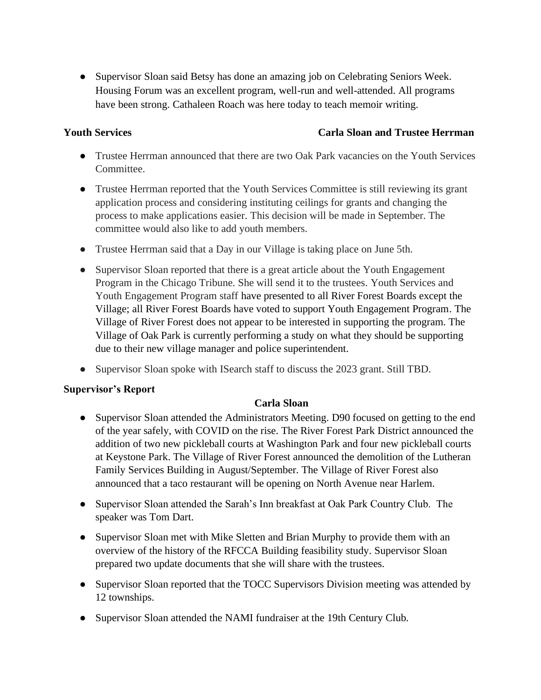• Supervisor Sloan said Betsy has done an amazing job on Celebrating Seniors Week. Housing Forum was an excellent program, well-run and well-attended. All programs have been strong. Cathaleen Roach was here today to teach memoir writing.

## **Youth Services Carla Sloan and Trustee Herrman**

- Trustee Herrman announced that there are two Oak Park vacancies on the Youth Services Committee.
- Trustee Herrman reported that the Youth Services Committee is still reviewing its grant application process and considering instituting ceilings for grants and changing the process to make applications easier. This decision will be made in September. The committee would also like to add youth members.
- Trustee Herrman said that a Day in our Village is taking place on June 5th.
- Supervisor Sloan reported that there is a great article about the Youth Engagement Program in the Chicago Tribune. She will send it to the trustees. Youth Services and Youth Engagement Program staff have presented to all River Forest Boards except the Village; all River Forest Boards have voted to support Youth Engagement Program. The Village of River Forest does not appear to be interested in supporting the program. The Village of Oak Park is currently performing a study on what they should be supporting due to their new village manager and police superintendent.
- Supervisor Sloan spoke with ISearch staff to discuss the 2023 grant. Still TBD.

## **Supervisor's Report**

## **Carla Sloan**

- Supervisor Sloan attended the Administrators Meeting. D90 focused on getting to the end of the year safely, with COVID on the rise. The River Forest Park District announced the addition of two new pickleball courts at Washington Park and four new pickleball courts at Keystone Park. The Village of River Forest announced the demolition of the Lutheran Family Services Building in August/September. The Village of River Forest also announced that a taco restaurant will be opening on North Avenue near Harlem.
- Supervisor Sloan attended the Sarah's Inn breakfast at Oak Park Country Club. The speaker was Tom Dart.
- Supervisor Sloan met with Mike Sletten and Brian Murphy to provide them with an overview of the history of the RFCCA Building feasibility study. Supervisor Sloan prepared two update documents that she will share with the trustees.
- Supervisor Sloan reported that the TOCC Supervisors Division meeting was attended by 12 townships.
- Supervisor Sloan attended the NAMI fundraiser at the 19th Century Club.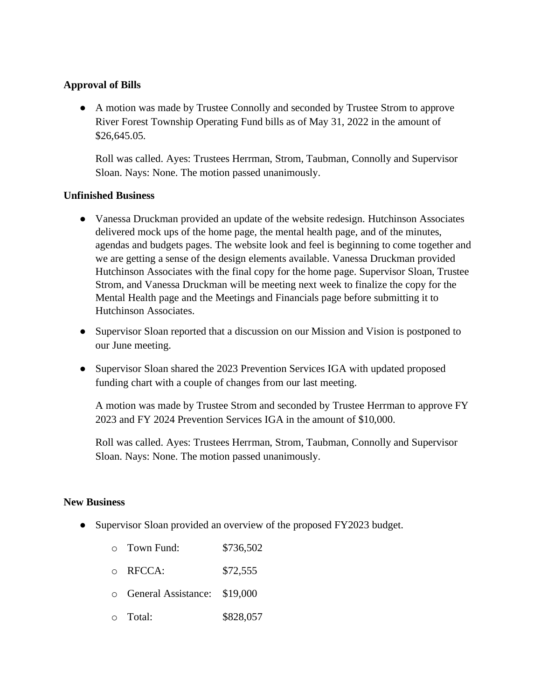### **Approval of Bills**

● A motion was made by Trustee Connolly and seconded by Trustee Strom to approve River Forest Township Operating Fund bills as of May 31, 2022 in the amount of \$26,645.05.

Roll was called. Ayes: Trustees Herrman, Strom, Taubman, Connolly and Supervisor Sloan. Nays: None. The motion passed unanimously.

### **Unfinished Business**

- Vanessa Druckman provided an update of the website redesign. Hutchinson Associates delivered mock ups of the home page, the mental health page, and of the minutes, agendas and budgets pages. The website look and feel is beginning to come together and we are getting a sense of the design elements available. Vanessa Druckman provided Hutchinson Associates with the final copy for the home page. Supervisor Sloan, Trustee Strom, and Vanessa Druckman will be meeting next week to finalize the copy for the Mental Health page and the Meetings and Financials page before submitting it to Hutchinson Associates.
- Supervisor Sloan reported that a discussion on our Mission and Vision is postponed to our June meeting.
- Supervisor Sloan shared the 2023 Prevention Services IGA with updated proposed funding chart with a couple of changes from our last meeting.

A motion was made by Trustee Strom and seconded by Trustee Herrman to approve FY 2023 and FY 2024 Prevention Services IGA in the amount of \$10,000.

Roll was called. Ayes: Trustees Herrman, Strom, Taubman, Connolly and Supervisor Sloan. Nays: None. The motion passed unanimously.

### **New Business**

• Supervisor Sloan provided an overview of the proposed FY2023 budget.

|           | $\circ$ Town Fund:           | \$736,502 |
|-----------|------------------------------|-----------|
| $\bigcap$ | RFCCA:                       | \$72,555  |
| $\cap$    | General Assistance: \$19,000 |           |
|           | $\circ$ Total:               | \$828,057 |